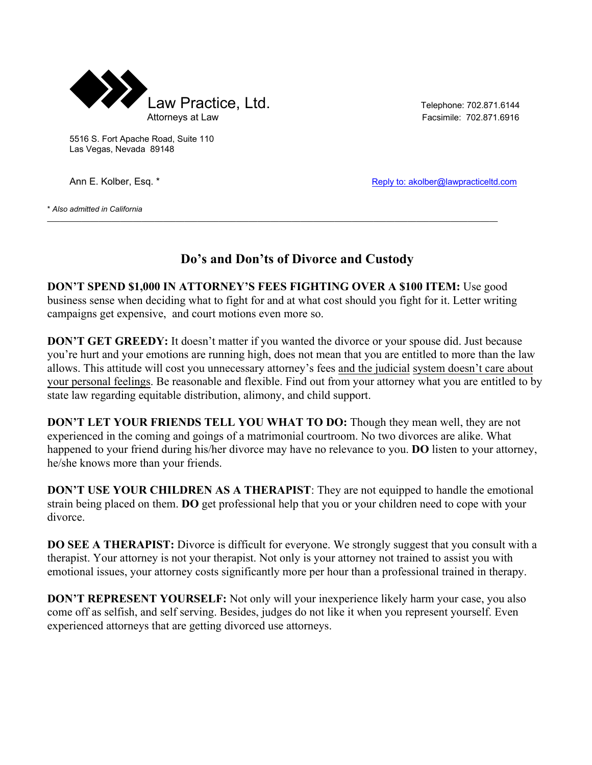

5516 S. Fort Apache Road, Suite 110 Las Vegas, Nevada 89148

Ann E. Kolber, Esq. \* The Collection of the Collection of the Reply to: akolber@lawpracticeltd.com

\* *Also admitted in California*

## **Do's and Don'ts of Divorce and Custody**

**DON'T SPEND \$1,000 IN ATTORNEY'S FEES FIGHTING OVER A \$100 ITEM:** Use good business sense when deciding what to fight for and at what cost should you fight for it. Letter writing campaigns get expensive, and court motions even more so.

 $\_$  , and the state of the state of the state of the state of the state of the state of the state of the state of the state of the state of the state of the state of the state of the state of the state of the state of the

**DON'T GET GREEDY:** It doesn't matter if you wanted the divorce or your spouse did. Just because you're hurt and your emotions are running high, does not mean that you are entitled to more than the law allows. This attitude will cost you unnecessary attorney's fees and the judicial system doesn't care about your personal feelings. Be reasonable and flexible. Find out from your attorney what you are entitled to by state law regarding equitable distribution, alimony, and child support.

**DON'T LET YOUR FRIENDS TELL YOU WHAT TO DO:** Though they mean well, they are not experienced in the coming and goings of a matrimonial courtroom. No two divorces are alike. What happened to your friend during his/her divorce may have no relevance to you. **DO** listen to your attorney, he/she knows more than your friends.

**DON'T USE YOUR CHILDREN AS A THERAPIST**: They are not equipped to handle the emotional strain being placed on them. **DO** get professional help that you or your children need to cope with your divorce.

**DO SEE A THERAPIST:** Divorce is difficult for everyone. We strongly suggest that you consult with a therapist. Your attorney is not your therapist. Not only is your attorney not trained to assist you with emotional issues, your attorney costs significantly more per hour than a professional trained in therapy.

**DON'T REPRESENT YOURSELF:** Not only will your inexperience likely harm your case, you also come off as selfish, and self serving. Besides, judges do not like it when you represent yourself. Even experienced attorneys that are getting divorced use attorneys.